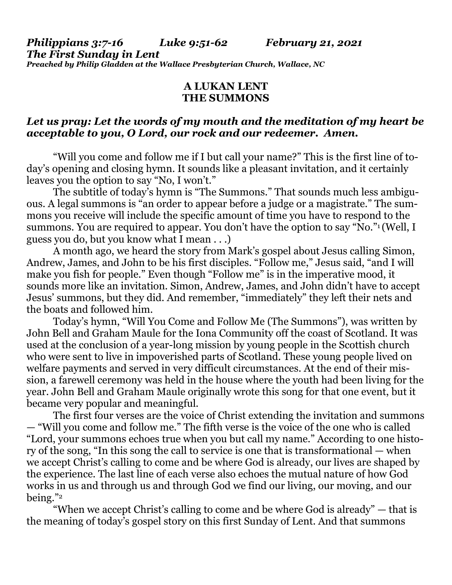*Philippians 3:7-16 Luke 9:51-62 February 21, 2021 The First Sunday in Lent Preached by Philip Gladden at the Wallace Presbyterian Church, Wallace, NC*

## **A LUKAN LENT THE SUMMONS**

## *Let us pray: Let the words of my mouth and the meditation of my heart be acceptable to you, O Lord, our rock and our redeemer. Amen.*

"Will you come and follow me if I but call your name?" This is the first line of today's opening and closing hymn. It sounds like a pleasant invitation, and it certainly leaves you the option to say "No, I won't."

The subtitle of today's hymn is "The Summons." That sounds much less ambiguous. A legal summons is "an order to appear before a judge or a magistrate." The summons you receive will include the specific amount of time you have to respond to the summons. You are required to appear. You don't have the option to say "No."<sup>1</sup> (Well, I guess you do, but you know what I mean . . .)

A month ago, we heard the story from Mark's gospel about Jesus calling Simon, Andrew, James, and John to be his first disciples. "Follow me," Jesus said, "and I will make you fish for people." Even though "Follow me" is in the imperative mood, it sounds more like an invitation. Simon, Andrew, James, and John didn't have to accept Jesus' summons, but they did. And remember, "immediately" they left their nets and the boats and followed him.

Today's hymn, "Will You Come and Follow Me (The Summons"), was written by John Bell and Graham Maule for the Iona Community off the coast of Scotland. It was used at the conclusion of a year-long mission by young people in the Scottish church who were sent to live in impoverished parts of Scotland. These young people lived on welfare payments and served in very difficult circumstances. At the end of their mission, a farewell ceremony was held in the house where the youth had been living for the year. John Bell and Graham Maule originally wrote this song for that one event, but it became very popular and meaningful.

The first four verses are the voice of Christ extending the invitation and summons — "Will you come and follow me." The fifth verse is the voice of the one who is called "Lord, your summons echoes true when you but call my name." According to one history of the song, "In this song the call to service is one that is transformational — when we accept Christ's calling to come and be where God is already, our lives are shaped by the experience. The last line of each verse also echoes the mutual nature of how God works in us and through us and through God we find our living, our moving, and our being."<sup>2</sup>

"When we accept Christ's calling to come and be where God is already" — that is the meaning of today's gospel story on this first Sunday of Lent. And that summons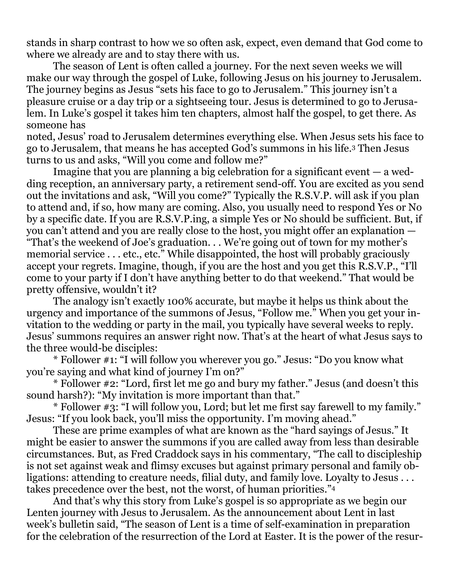stands in sharp contrast to how we so often ask, expect, even demand that God come to where we already are and to stay there with us.

The season of Lent is often called a journey. For the next seven weeks we will make our way through the gospel of Luke, following Jesus on his journey to Jerusalem. The journey begins as Jesus "sets his face to go to Jerusalem." This journey isn't a pleasure cruise or a day trip or a sightseeing tour. Jesus is determined to go to Jerusalem. In Luke's gospel it takes him ten chapters, almost half the gospel, to get there. As someone has

noted, Jesus' road to Jerusalem determines everything else. When Jesus sets his face to go to Jerusalem, that means he has accepted God's summons in his life.<sup>3</sup> Then Jesus turns to us and asks, "Will you come and follow me?"

Imagine that you are planning a big celebration for a significant event  $-$  a wedding reception, an anniversary party, a retirement send-off. You are excited as you send out the invitations and ask, "Will you come?" Typically the R.S.V.P. will ask if you plan to attend and, if so, how many are coming. Also, you usually need to respond Yes or No by a specific date. If you are R.S.V.P.ing, a simple Yes or No should be sufficient. But, if you can't attend and you are really close to the host, you might offer an explanation — "That's the weekend of Joe's graduation. . . We're going out of town for my mother's memorial service . . . etc., etc." While disappointed, the host will probably graciously accept your regrets. Imagine, though, if you are the host and you get this R.S.V.P., "I'll come to your party if I don't have anything better to do that weekend." That would be pretty offensive, wouldn't it?

The analogy isn't exactly 100% accurate, but maybe it helps us think about the urgency and importance of the summons of Jesus, "Follow me." When you get your invitation to the wedding or party in the mail, you typically have several weeks to reply. Jesus' summons requires an answer right now. That's at the heart of what Jesus says to the three would-be disciples:

\* Follower #1: "I will follow you wherever you go." Jesus: "Do you know what you're saying and what kind of journey I'm on?"

\* Follower #2: "Lord, first let me go and bury my father." Jesus (and doesn't this sound harsh?): "My invitation is more important than that."

\* Follower #3: "I will follow you, Lord; but let me first say farewell to my family." Jesus: "If you look back, you'll miss the opportunity. I'm moving ahead."

These are prime examples of what are known as the "hard sayings of Jesus." It might be easier to answer the summons if you are called away from less than desirable circumstances. But, as Fred Craddock says in his commentary, "The call to discipleship is not set against weak and flimsy excuses but against primary personal and family obligations: attending to creature needs, filial duty, and family love. Loyalty to Jesus . . . takes precedence over the best, not the worst, of human priorities."<sup>4</sup>

And that's why this story from Luke's gospel is so appropriate as we begin our Lenten journey with Jesus to Jerusalem. As the announcement about Lent in last week's bulletin said, "The season of Lent is a time of self-examination in preparation for the celebration of the resurrection of the Lord at Easter. It is the power of the resur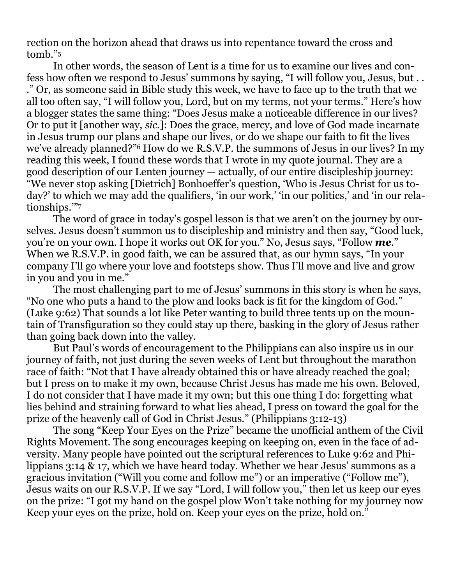rection on the horizon ahead that draws us into repentance toward the cross and tomb."<sup>5</sup>

In other words, the season of Lent is a time for us to examine our lives and confess how often we respond to Jesus' summons by saying, "I will follow you, Jesus, but . . ." Or, as someone said in Bible study this week, we have to face up to the truth that we all too often say, "I will follow you, Lord, but on my terms, not your terms." Here's how a blogger states the same thing: "Does Jesus make a noticeable difference in our lives? Or to put it [another way, *sic.*]: Does the grace, mercy, and love of God made incarnate in Jesus trump our plans and shape our lives, or do we shape our faith to fit the lives we've already planned?"<sup>6</sup> How do we R.S.V.P. the summons of Jesus in our lives? In my reading this week, I found these words that I wrote in my quote journal. They are a good description of our Lenten journey — actually, of our entire discipleship journey: "We never stop asking [Dietrich] Bonhoeffer's question, 'Who is Jesus Christ for us today?' to which we may add the qualifiers, 'in our work,' 'in our politics,' and 'in our relationships.'"<sup>7</sup>

The word of grace in today's gospel lesson is that we aren't on the journey by ourselves. Jesus doesn't summon us to discipleship and ministry and then say, "Good luck, you're on your own. I hope it works out OK for you." No, Jesus says, "Follow *me*." When we R.S.V.P. in good faith, we can be assured that, as our hymn says, "In your company I'll go where your love and footsteps show. Thus I'll move and live and grow in you and you in me."

The most challenging part to me of Jesus' summons in this story is when he says, "No one who puts a hand to the plow and looks back is fit for the kingdom of God." (Luke 9:62) That sounds a lot like Peter wanting to build three tents up on the mountain of Transfiguration so they could stay up there, basking in the glory of Jesus rather than going back down into the valley.

But Paul's words of encouragement to the Philippians can also inspire us in our journey of faith, not just during the seven weeks of Lent but throughout the marathon race of faith: "Not that I have already obtained this or have already reached the goal; but I press on to make it my own, because Christ Jesus has made me his own. Beloved, I do not consider that I have made it my own; but this one thing I do: forgetting what lies behind and straining forward to what lies ahead, I press on toward the goal for the prize of the heavenly call of God in Christ Jesus." (Philippians 3:12-13)

The song "Keep Your Eyes on the Prize" became the unofficial anthem of the Civil Rights Movement. The song encourages keeping on keeping on, even in the face of adversity. Many people have pointed out the scriptural references to Luke 9:62 and Philippians 3:14 & 17, which we have heard today. Whether we hear Jesus' summons as a gracious invitation ("Will you come and follow me") or an imperative ("Follow me"), Jesus waits on our R.S.V.P. If we say "Lord, I will follow you," then let us keep our eyes on the prize: "I got my hand on the gospel plow Won't take nothing for my journey now Keep your eyes on the prize, hold on. Keep your eyes on the prize, hold on."